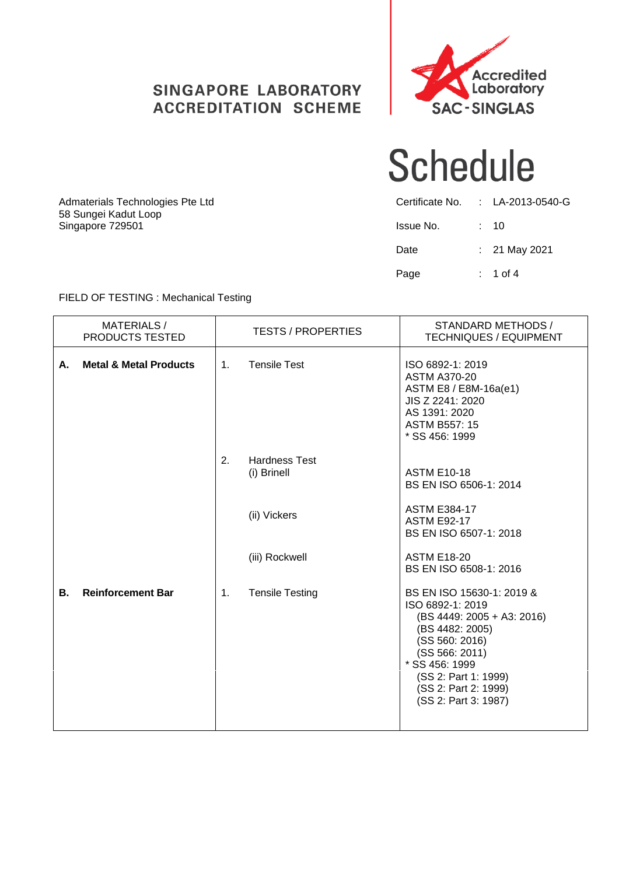### SINGAPORE LABORATORY **ACCREDITATION SCHEME**



### **Schedule**

| Certificate No. | : LA-2013-0540-G |
|-----------------|------------------|
| Issue No.       | : 10             |
| Date            | : 21 May 2021    |
| Page            | $: 1$ of 4       |

Admaterials Technologies Pte Ltd 58 Sungei Kadut Loop Singapore 729501

#### FIELD OF TESTING : Mechanical Testing

|    | <b>MATERIALS/</b><br>PRODUCTS TESTED |                | <b>TESTS / PROPERTIES</b>           | STANDARD METHODS /<br><b>TECHNIQUES / EQUIPMENT</b>                                                                                                                                                                          |
|----|--------------------------------------|----------------|-------------------------------------|------------------------------------------------------------------------------------------------------------------------------------------------------------------------------------------------------------------------------|
| А. | <b>Metal &amp; Metal Products</b>    | 1 <sub>1</sub> | <b>Tensile Test</b>                 | ISO 6892-1: 2019<br><b>ASTM A370-20</b><br>ASTM E8 / E8M-16a(e1)<br>JIS Z 2241: 2020<br>AS 1391: 2020<br><b>ASTM B557: 15</b><br>* SS 456: 1999                                                                              |
|    |                                      | 2.             | <b>Hardness Test</b><br>(i) Brinell | <b>ASTM E10-18</b><br>BS EN ISO 6506-1: 2014                                                                                                                                                                                 |
|    |                                      |                | (ii) Vickers                        | <b>ASTM E384-17</b><br><b>ASTM E92-17</b><br>BS EN ISO 6507-1: 2018                                                                                                                                                          |
|    |                                      |                | (iii) Rockwell                      | <b>ASTM E18-20</b><br>BS EN ISO 6508-1: 2016                                                                                                                                                                                 |
| В. | <b>Reinforcement Bar</b>             | $\mathbf{1}$ . | <b>Tensile Testing</b>              | BS EN ISO 15630-1: 2019 &<br>ISO 6892-1: 2019<br>(BS 4449: 2005 + A3: 2016)<br>(BS 4482: 2005)<br>(SS 560: 2016)<br>(SS 566: 2011)<br>* SS 456: 1999<br>(SS 2: Part 1: 1999)<br>(SS 2: Part 2: 1999)<br>(SS 2: Part 3: 1987) |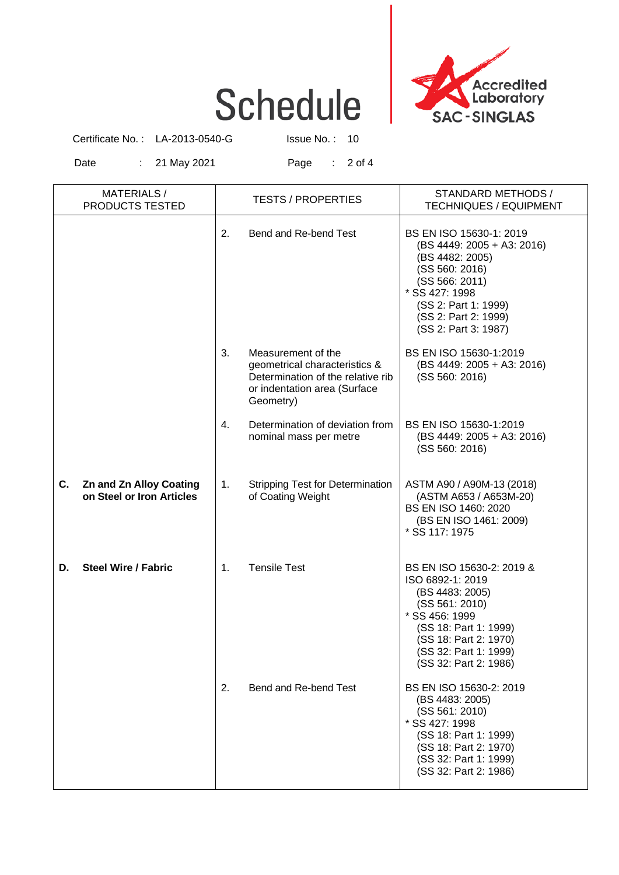# **Schedule**



Certificate No.: LA-2013-0540-G Issue No.: 10

Date : 21 May 2021 Page : 2 of 4

| <b>MATERIALS/</b><br>PRODUCTS TESTED                              |    | <b>TESTS / PROPERTIES</b>                                                                                                             | STANDARD METHODS /<br><b>TECHNIQUES / EQUIPMENT</b>                                                                                                                                                      |
|-------------------------------------------------------------------|----|---------------------------------------------------------------------------------------------------------------------------------------|----------------------------------------------------------------------------------------------------------------------------------------------------------------------------------------------------------|
|                                                                   | 2. | Bend and Re-bend Test                                                                                                                 | BS EN ISO 15630-1: 2019<br>(BS 4449: 2005 + A3: 2016)<br>(BS 4482: 2005)<br>(SS 560: 2016)<br>(SS 566: 2011)<br>* SS 427: 1998<br>(SS 2: Part 1: 1999)<br>(SS 2: Part 2: 1999)<br>(SS 2: Part 3: 1987)   |
|                                                                   | 3. | Measurement of the<br>geometrical characteristics &<br>Determination of the relative rib<br>or indentation area (Surface<br>Geometry) | BS EN ISO 15630-1:2019<br>(BS 4449: 2005 + A3: 2016)<br>(SS 560: 2016)                                                                                                                                   |
|                                                                   | 4. | Determination of deviation from<br>nominal mass per metre                                                                             | BS EN ISO 15630-1:2019<br>(BS 4449: 2005 + A3: 2016)<br>(SS 560: 2016)                                                                                                                                   |
| C.<br><b>Zn and Zn Alloy Coating</b><br>on Steel or Iron Articles | 1. | <b>Stripping Test for Determination</b><br>of Coating Weight                                                                          | ASTM A90 / A90M-13 (2018)<br>(ASTM A653 / A653M-20)<br>BS EN ISO 1460: 2020<br>(BS EN ISO 1461: 2009)<br>* SS 117: 1975                                                                                  |
| <b>Steel Wire / Fabric</b><br>D.                                  | 1. | <b>Tensile Test</b>                                                                                                                   | BS EN ISO 15630-2: 2019 &<br>ISO 6892-1: 2019<br>(BS 4483: 2005)<br>(SS 561: 2010)<br>* SS 456: 1999<br>(SS 18: Part 1: 1999)<br>(SS 18: Part 2: 1970)<br>(SS 32: Part 1: 1999)<br>(SS 32: Part 2: 1986) |
|                                                                   | 2. | Bend and Re-bend Test                                                                                                                 | BS EN ISO 15630-2: 2019<br>(BS 4483: 2005)<br>(SS 561: 2010)<br>* SS 427: 1998<br>(SS 18: Part 1: 1999)<br>(SS 18: Part 2: 1970)<br>(SS 32: Part 1: 1999)<br>(SS 32: Part 2: 1986)                       |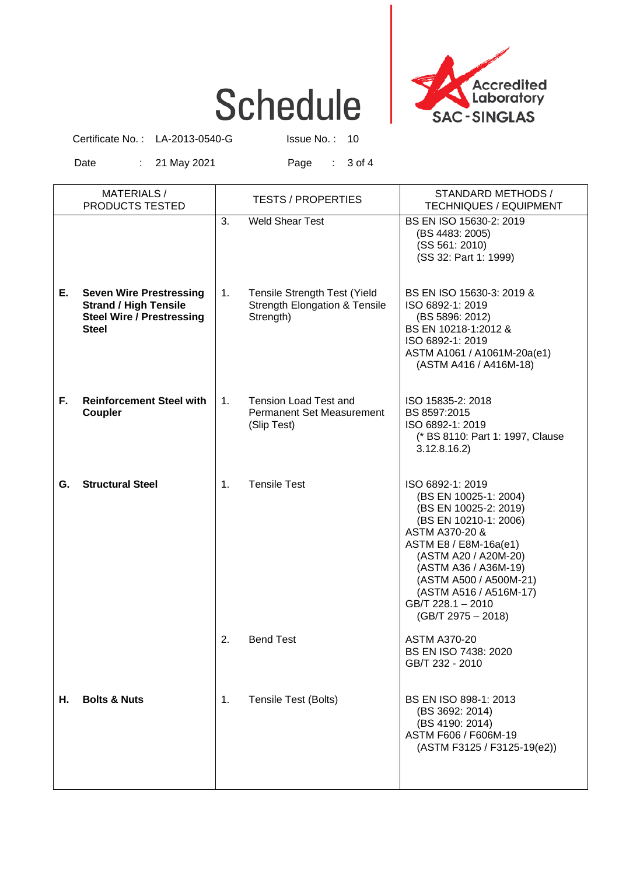# **Schedule**



Certificate No.: LA-2013-0540-G Issue No.: 10

Date : 21 May 2021 Page : 3 of 4

|    | <b>MATERIALS/</b><br>PRODUCTS TESTED                                                                               |                | <b>TESTS / PROPERTIES</b>                                                                    | STANDARD METHODS /<br><b>TECHNIQUES / EQUIPMENT</b>                                                                                                                                                                                                                                     |
|----|--------------------------------------------------------------------------------------------------------------------|----------------|----------------------------------------------------------------------------------------------|-----------------------------------------------------------------------------------------------------------------------------------------------------------------------------------------------------------------------------------------------------------------------------------------|
|    |                                                                                                                    | 3.             | <b>Weld Shear Test</b>                                                                       | BS EN ISO 15630-2: 2019<br>(BS 4483: 2005)<br>(SS 561: 2010)<br>(SS 32: Part 1: 1999)                                                                                                                                                                                                   |
| Е. | <b>Seven Wire Prestressing</b><br><b>Strand / High Tensile</b><br><b>Steel Wire / Prestressing</b><br><b>Steel</b> | 1.             | <b>Tensile Strength Test (Yield</b><br><b>Strength Elongation &amp; Tensile</b><br>Strength) | BS EN ISO 15630-3: 2019 &<br>ISO 6892-1: 2019<br>(BS 5896: 2012)<br>BS EN 10218-1:2012 &<br>ISO 6892-1: 2019<br>ASTM A1061 / A1061M-20a(e1)<br>(ASTM A416 / A416M-18)                                                                                                                   |
| F. | <b>Reinforcement Steel with</b><br><b>Coupler</b>                                                                  | 1.             | <b>Tension Load Test and</b><br><b>Permanent Set Measurement</b><br>(Slip Test)              | ISO 15835-2: 2018<br>BS 8597:2015<br>ISO 6892-1: 2019<br>(* BS 8110: Part 1: 1997, Clause<br>3.12.8.16.2                                                                                                                                                                                |
| G. | <b>Structural Steel</b>                                                                                            | $\mathbf{1}$ . | <b>Tensile Test</b>                                                                          | ISO 6892-1: 2019<br>(BS EN 10025-1: 2004)<br>(BS EN 10025-2: 2019)<br>(BS EN 10210-1: 2006)<br>ASTM A370-20 &<br>ASTM E8 / E8M-16a(e1)<br>(ASTM A20 / A20M-20)<br>(ASTM A36 / A36M-19)<br>(ASTM A500 / A500M-21)<br>(ASTM A516 / A516M-17)<br>GB/T 228.1 - 2010<br>$(GB/T 2975 - 2018)$ |
|    |                                                                                                                    | 2.             | <b>Bend Test</b>                                                                             | <b>ASTM A370-20</b><br><b>BS EN ISO 7438: 2020</b><br>GB/T 232 - 2010                                                                                                                                                                                                                   |
| Н. | <b>Bolts &amp; Nuts</b>                                                                                            | 1.             | Tensile Test (Bolts)                                                                         | BS EN ISO 898-1: 2013<br>(BS 3692: 2014)<br>(BS 4190: 2014)<br>ASTM F606 / F606M-19<br>(ASTM F3125 / F3125-19(e2))                                                                                                                                                                      |